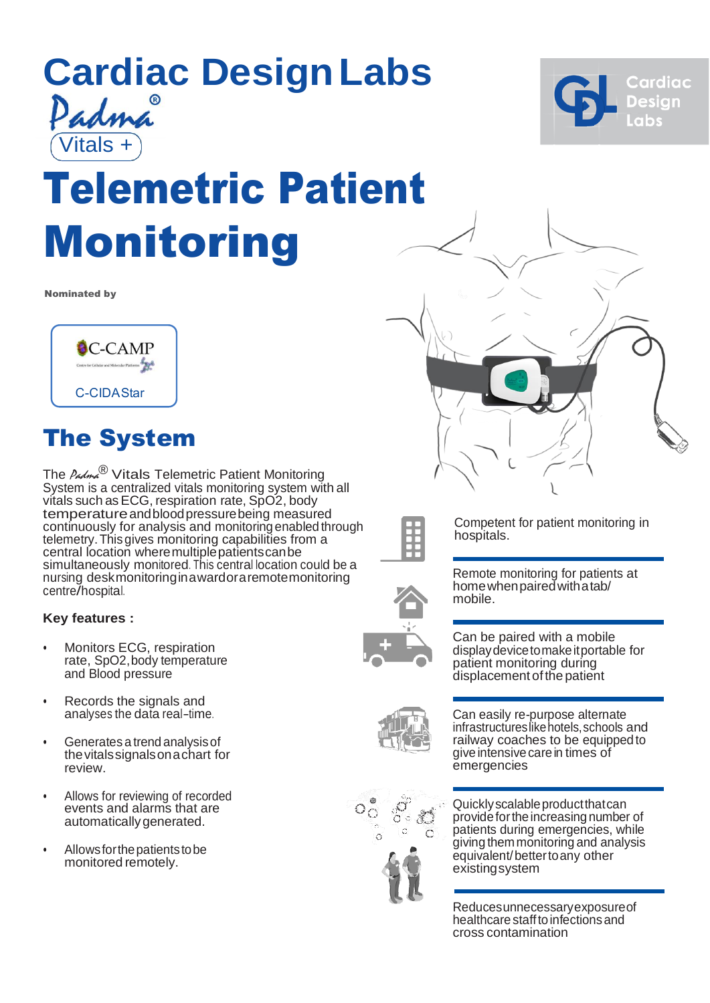

# Telemetric Patient Monitoring

Nominated by



## The System

The  $\ell_{\mathcal{A}\mathcal{M}\mathcal{A}}^{\mathcal{B}}$  Vitals Telemetric Patient Monitoring System is a centralized vitals monitoring system with all vitals such asECG, respiration rate, SpO2, body temperatureandbloodpressurebeing measured continuously for analysis and monitoringenabled through telemetry.Thisgives monitoring capabilities from a central location where multiple patients can be simultaneously monitored. This central location could be a nursing deskmonitoringinawardoraremotemonitoring centre/hospital.

### **Key features :**

- Monitors ECG, respiration rate, SpO2, body temperature and Blood pressure
- Records the signals and analyses the data real-time.
- Generates a trend analysisof thevitalssignalsonachart for review.
- Allows for reviewing of recorded events and alarms that are automaticallygenerated.
- Allows for the patients to be monitored remotely.



Competent for patient monitoring in hospitals.



Remote monitoring for patients at homewhenpairedwithatab/ mobile.



Can be paired with a mobile displaydevicetomakeitportable for patient monitoring during displacement of the patient





Can easily re-purpose alternate infrastructureslikehotels,schools and railway coaches to be equippedto give intensive care in times of emergencies

Quicklyscalableproductthatcan provide for the increasing number of patients during emergencies, while giving themmonitoring and analysis equivalent/bettertoany other existingsystem

Reducesunnecessaryexposureof healthcare staff to infections and cross contamination

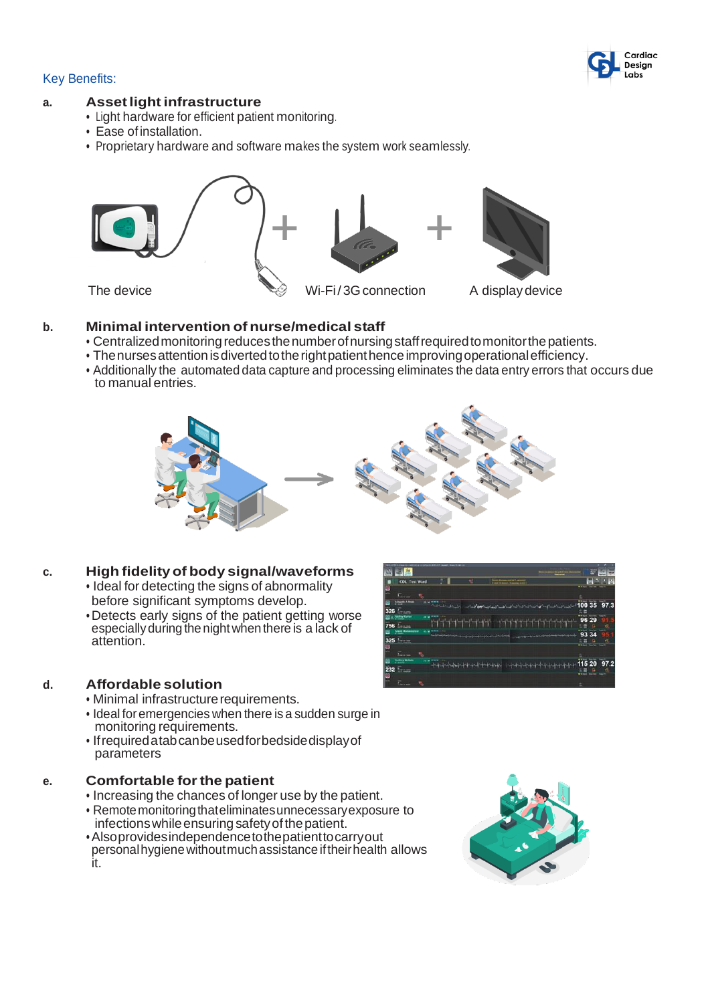#### Cardiac Desian Labs

#### Key Benefits:

#### **a. Assetlight infrastructure**

- Light hardware for efficient patient monitoring.
- Ease of installation.
- Proprietary hardware and software makes the system work seamlessly.



#### **b. Minimal intervention of nurse/medical staff**

- Centralized monitoring reduces the number of nursing staff required to monitor the patients.
- The nurses attention is diverted to the right patient hence improving operational efficiency.
- Additionally the automated data capture and processing eliminates the data entry errors that occurs due to manual entries.



### **c. High fidelity of body signal/waveforms**

- Ideal for detecting the signs of abnormality before significant symptoms develop.
- •Detects early signs of the patient getting worse especiallyduring thenightwhenthere is a lack of attention.



- Minimal infrastructure requirements.
- Ideal foremergencies when there is a sudden surge in monitoring requirements.
- Ifrequiredatabcanbeusedforbedsidedisplayof parameters

### **e. Comfortable forthe patient**

- Increasing the chances of longer use by the patient.
- Remotemonitoringthateliminatesunnecessaryexposure to
- infections while ensuring safety of the patient.<br>• Also provides independence to the patient to carry out •Alsoprovidesindependencetothepatienttocarryout personalhygienewithoutmuchassistance iftheirhealth allows it.



115 20 97